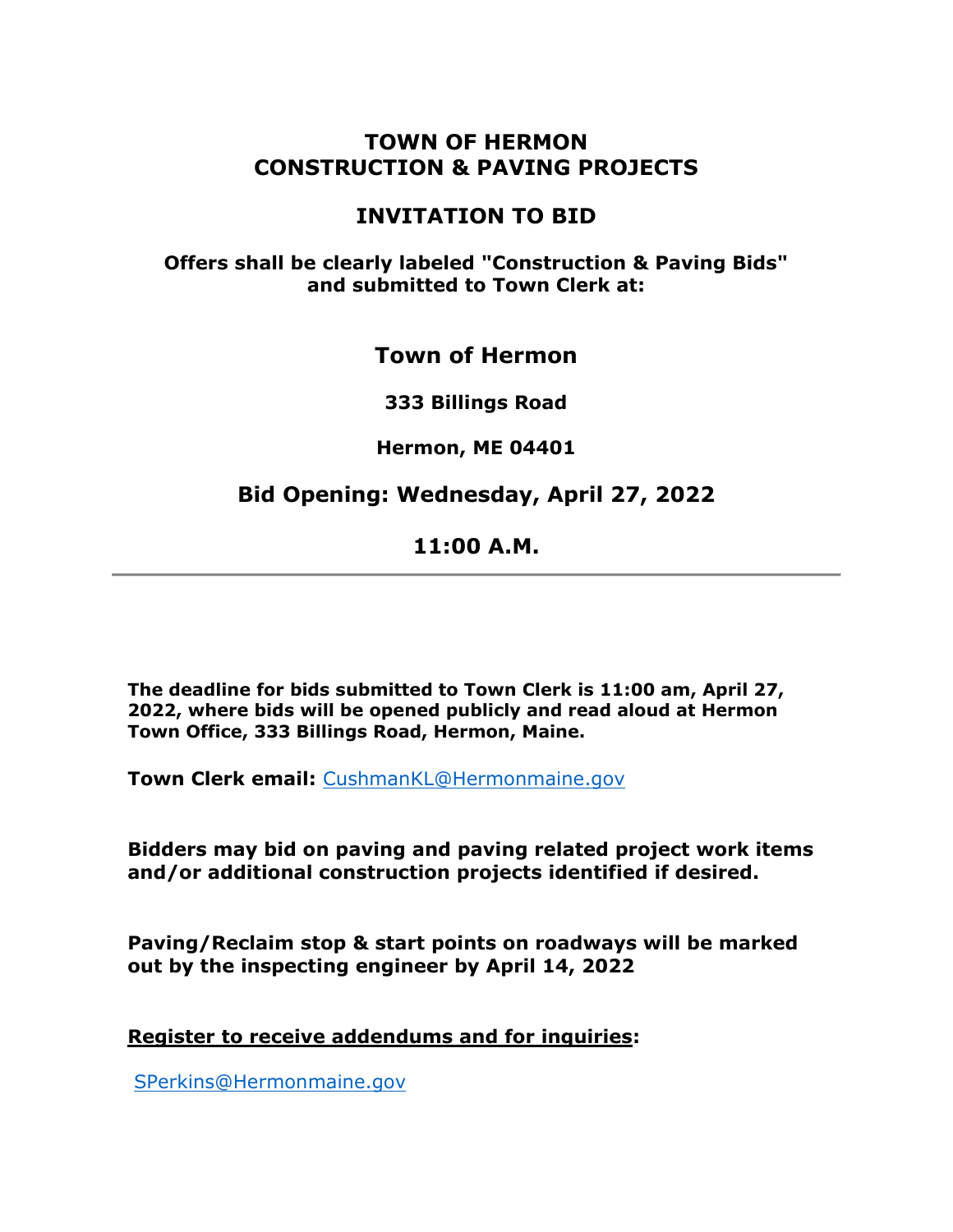## **TOWN OF HERMON CONSTRUCTION & PAVING PROJECTS**

# **INVITATION TO BID**

### **Offers shall be clearly labeled "Construction & Paving Bids" and submitted to Town Clerk at:**

# **Town of Hermon**

**333 Billings Road**

**Hermon, ME 04401** 

# **Bid Opening: Wednesday, April 27, 2022**

# **11:00 A.M.**

**The deadline for bids submitted to Town Clerk is 11:00 am, April 27, 2022, where bids will be opened publicly and read aloud at Hermon Town Office, 333 Billings Road, Hermon, Maine.**

**Town Clerk email:** [CushmanKL@Hermonmaine.gov](mailto:CushmanKL@Hermonmaine.)

**Bidders may bid on paving and paving related project work items and/or additional construction projects identified if desired.** 

**Paving/Reclaim stop & start points on roadways will be marked out by the inspecting engineer by April 14, 2022**

**Register to receive addendums and for inquiries:**

[SPerkins@Hermonmaine.gov](mailto:SPerkins@Hermonmaine.gov)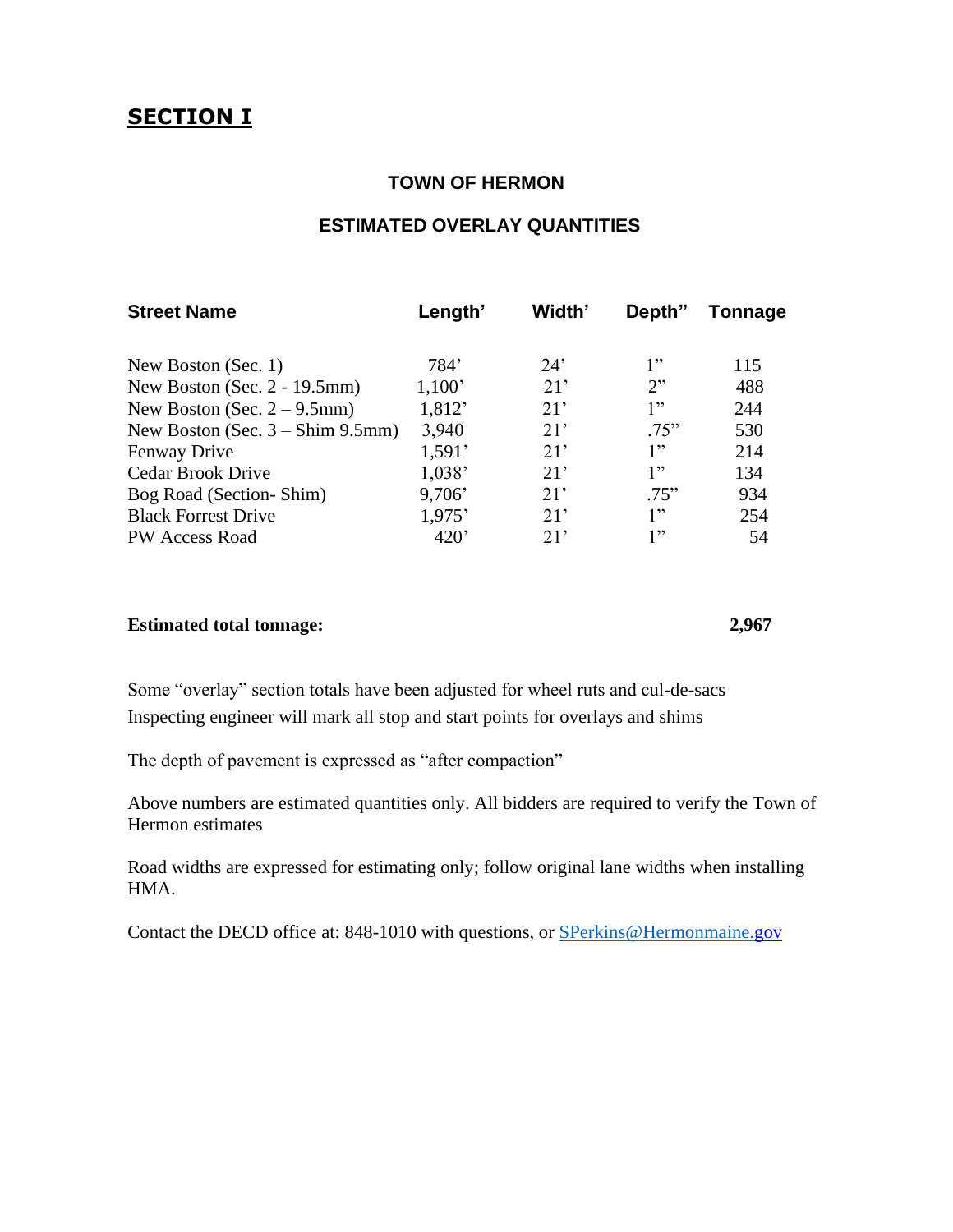#### **TOWN OF HERMON**

#### **ESTIMATED OVERLAY QUANTITIES**

| <b>Street Name</b>                 | Length' | Width' | Depth" | Tonnage |
|------------------------------------|---------|--------|--------|---------|
| New Boston (Sec. 1)                | 784'    | 24'    | 1"     | 115     |
| New Boston (Sec. 2 - 19.5mm)       | 1,100'  | 21'    | 2      | 488     |
| New Boston (Sec. $2 - 9.5$ mm)     | 1,812'  | 21'    | 1"     | 244     |
| New Boston (Sec. $3 -$ Shim 9.5mm) | 3,940   | 21'    | .75"   | 530     |
| Fenway Drive                       | 1,591'  | 21'    | 1"     | 214     |
| Cedar Brook Drive                  | 1,038'  | 21'    | 1"     | 134     |
| Bog Road (Section-Shim)            | 9,706'  | 21'    | .75"   | 934     |
| <b>Black Forrest Drive</b>         | 1,975'  | 21'    | 1"     | 254     |
| PW Access Road                     | 420'    | 21'    | 1"     | 54      |

#### **Estimated total tonnage: 2,967**

Some "overlay" section totals have been adjusted for wheel ruts and cul-de-sacs Inspecting engineer will mark all stop and start points for overlays and shims

The depth of pavement is expressed as "after compaction"

Above numbers are estimated quantities only. All bidders are required to verify the Town of Hermon estimates

Road widths are expressed for estimating only; follow original lane widths when installing HMA.

Contact the DECD office at: 848-1010 with questions, or [SPerkins@Hermonmaine.g](mailto:SPerkins@Hermonmaine.)ov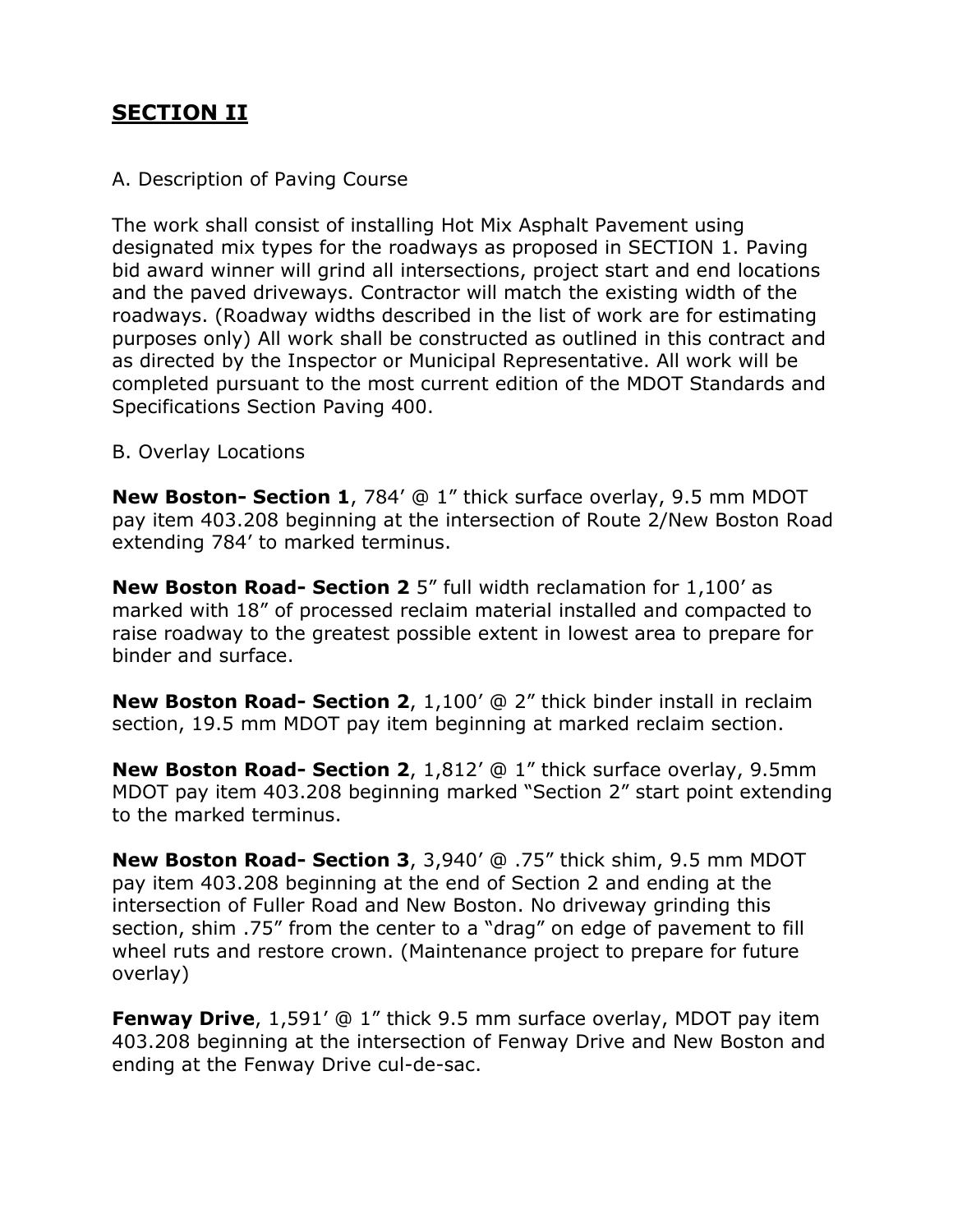# **SECTION II**

#### A. Description of Paving Course

The work shall consist of installing Hot Mix Asphalt Pavement using designated mix types for the roadways as proposed in SECTION 1. Paving bid award winner will grind all intersections, project start and end locations and the paved driveways. Contractor will match the existing width of the roadways. (Roadway widths described in the list of work are for estimating purposes only) All work shall be constructed as outlined in this contract and as directed by the Inspector or Municipal Representative. All work will be completed pursuant to the most current edition of the MDOT Standards and Specifications Section Paving 400.

#### B. Overlay Locations

**New Boston- Section 1**, 784' @ 1" thick surface overlay, 9.5 mm MDOT pay item 403.208 beginning at the intersection of Route 2/New Boston Road extending 784' to marked terminus.

**New Boston Road- Section 2** 5" full width reclamation for 1,100' as marked with 18" of processed reclaim material installed and compacted to raise roadway to the greatest possible extent in lowest area to prepare for binder and surface.

**New Boston Road- Section 2**, 1,100' @ 2" thick binder install in reclaim section, 19.5 mm MDOT pay item beginning at marked reclaim section.

**New Boston Road- Section 2**, 1,812' @ 1" thick surface overlay, 9.5mm MDOT pay item 403.208 beginning marked "Section 2" start point extending to the marked terminus.

**New Boston Road- Section 3**, 3,940' @ .75" thick shim, 9.5 mm MDOT pay item 403.208 beginning at the end of Section 2 and ending at the intersection of Fuller Road and New Boston. No driveway grinding this section, shim .75" from the center to a "drag" on edge of pavement to fill wheel ruts and restore crown. (Maintenance project to prepare for future overlay)

**Fenway Drive**, 1,591' @ 1" thick 9.5 mm surface overlay, MDOT pay item 403.208 beginning at the intersection of Fenway Drive and New Boston and ending at the Fenway Drive cul-de-sac.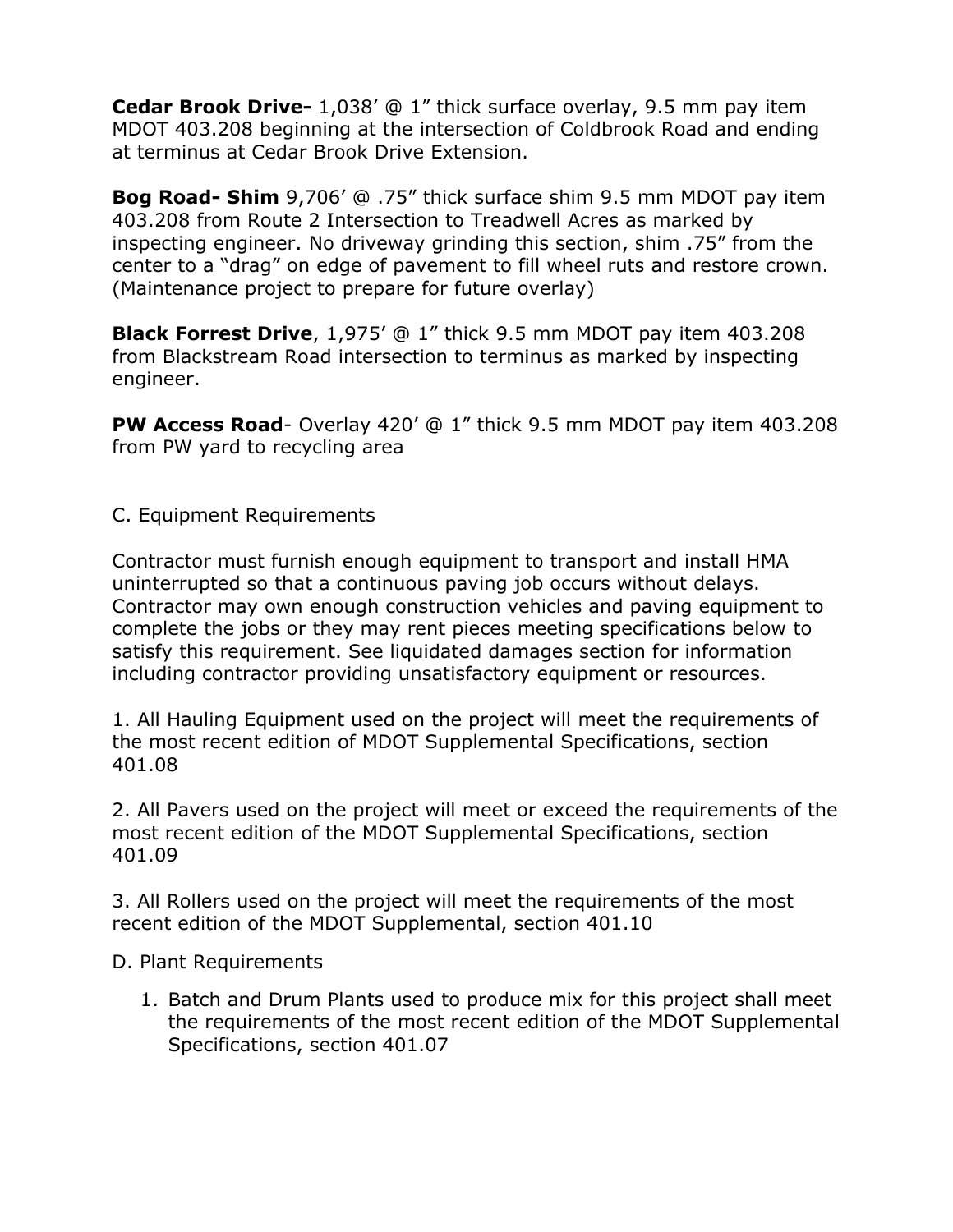**Cedar Brook Drive-** 1,038' @ 1" thick surface overlay, 9.5 mm pay item MDOT 403.208 beginning at the intersection of Coldbrook Road and ending at terminus at Cedar Brook Drive Extension.

**Bog Road- Shim** 9,706' @ .75" thick surface shim 9.5 mm MDOT pay item 403.208 from Route 2 Intersection to Treadwell Acres as marked by inspecting engineer. No driveway grinding this section, shim .75" from the center to a "drag" on edge of pavement to fill wheel ruts and restore crown. (Maintenance project to prepare for future overlay)

**Black Forrest Drive**, 1,975' @ 1" thick 9.5 mm MDOT pay item 403.208 from Blackstream Road intersection to terminus as marked by inspecting engineer.

**PW Access Road**- Overlay 420' @ 1" thick 9.5 mm MDOT pay item 403.208 from PW yard to recycling area

C. Equipment Requirements

Contractor must furnish enough equipment to transport and install HMA uninterrupted so that a continuous paving job occurs without delays. Contractor may own enough construction vehicles and paving equipment to complete the jobs or they may rent pieces meeting specifications below to satisfy this requirement. See liquidated damages section for information including contractor providing unsatisfactory equipment or resources.

1. All Hauling Equipment used on the project will meet the requirements of the most recent edition of MDOT Supplemental Specifications, section 401.08

2. All Pavers used on the project will meet or exceed the requirements of the most recent edition of the MDOT Supplemental Specifications, section 401.09

3. All Rollers used on the project will meet the requirements of the most recent edition of the MDOT Supplemental, section 401.10

D. Plant Requirements

1. Batch and Drum Plants used to produce mix for this project shall meet the requirements of the most recent edition of the MDOT Supplemental Specifications, section 401.07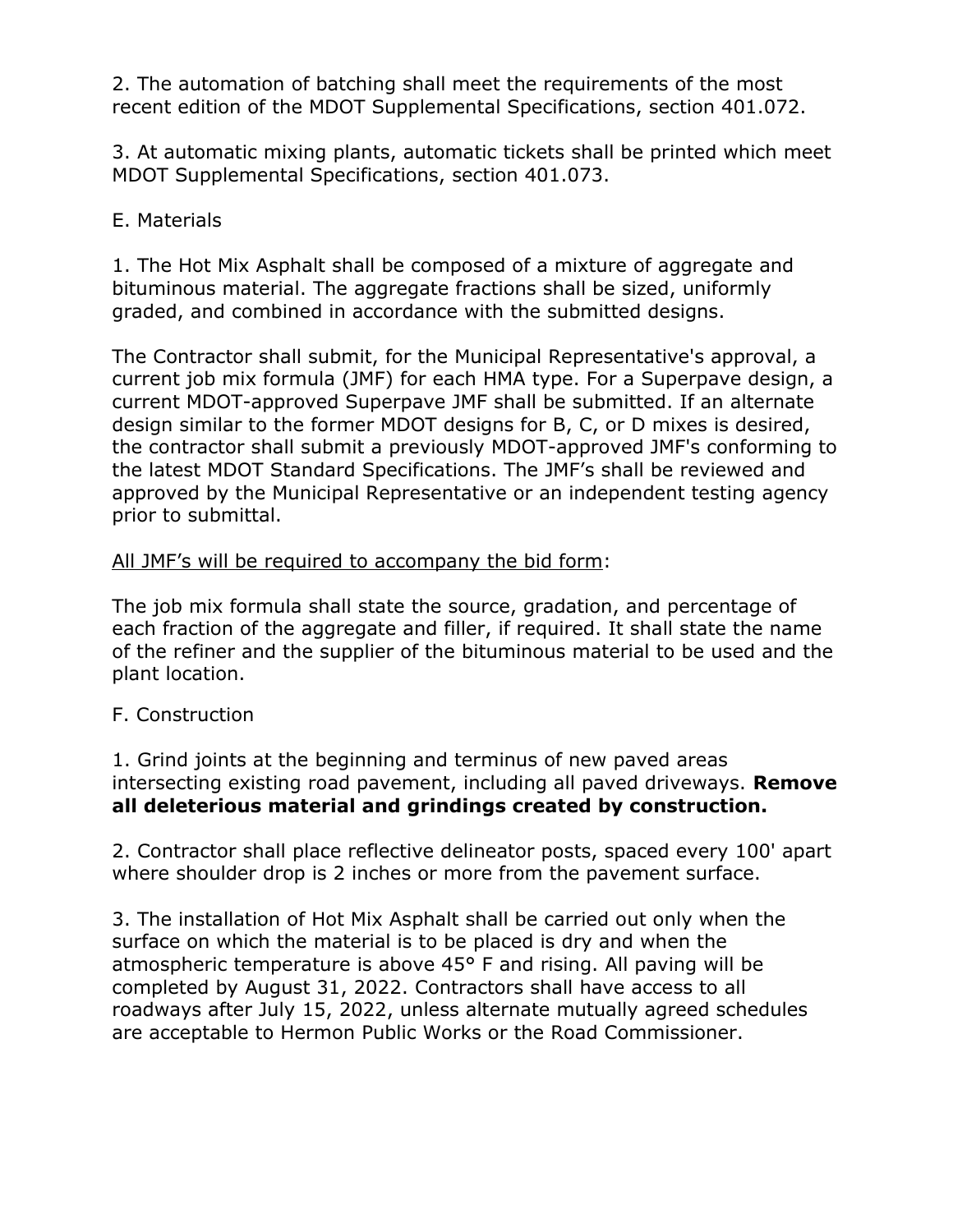2. The automation of batching shall meet the requirements of the most recent edition of the MDOT Supplemental Specifications, section 401.072.

3. At automatic mixing plants, automatic tickets shall be printed which meet MDOT Supplemental Specifications, section 401.073.

## E. Materials

1. The Hot Mix Asphalt shall be composed of a mixture of aggregate and bituminous material. The aggregate fractions shall be sized, uniformly graded, and combined in accordance with the submitted designs.

The Contractor shall submit, for the Municipal Representative's approval, a current job mix formula (JMF) for each HMA type. For a Superpave design, a current MDOT-approved Superpave JMF shall be submitted. If an alternate design similar to the former MDOT designs for B, C, or D mixes is desired, the contractor shall submit a previously MDOT-approved JMF's conforming to the latest MDOT Standard Specifications. The JMF's shall be reviewed and approved by the Municipal Representative or an independent testing agency prior to submittal.

## All JMF's will be required to accompany the bid form:

The job mix formula shall state the source, gradation, and percentage of each fraction of the aggregate and filler, if required. It shall state the name of the refiner and the supplier of the bituminous material to be used and the plant location.

## F. Construction

1. Grind joints at the beginning and terminus of new paved areas intersecting existing road pavement, including all paved driveways. **Remove all deleterious material and grindings created by construction.**

2. Contractor shall place reflective delineator posts, spaced every 100' apart where shoulder drop is 2 inches or more from the pavement surface.

3. The installation of Hot Mix Asphalt shall be carried out only when the surface on which the material is to be placed is dry and when the atmospheric temperature is above 45° F and rising. All paving will be completed by August 31, 2022. Contractors shall have access to all roadways after July 15, 2022, unless alternate mutually agreed schedules are acceptable to Hermon Public Works or the Road Commissioner.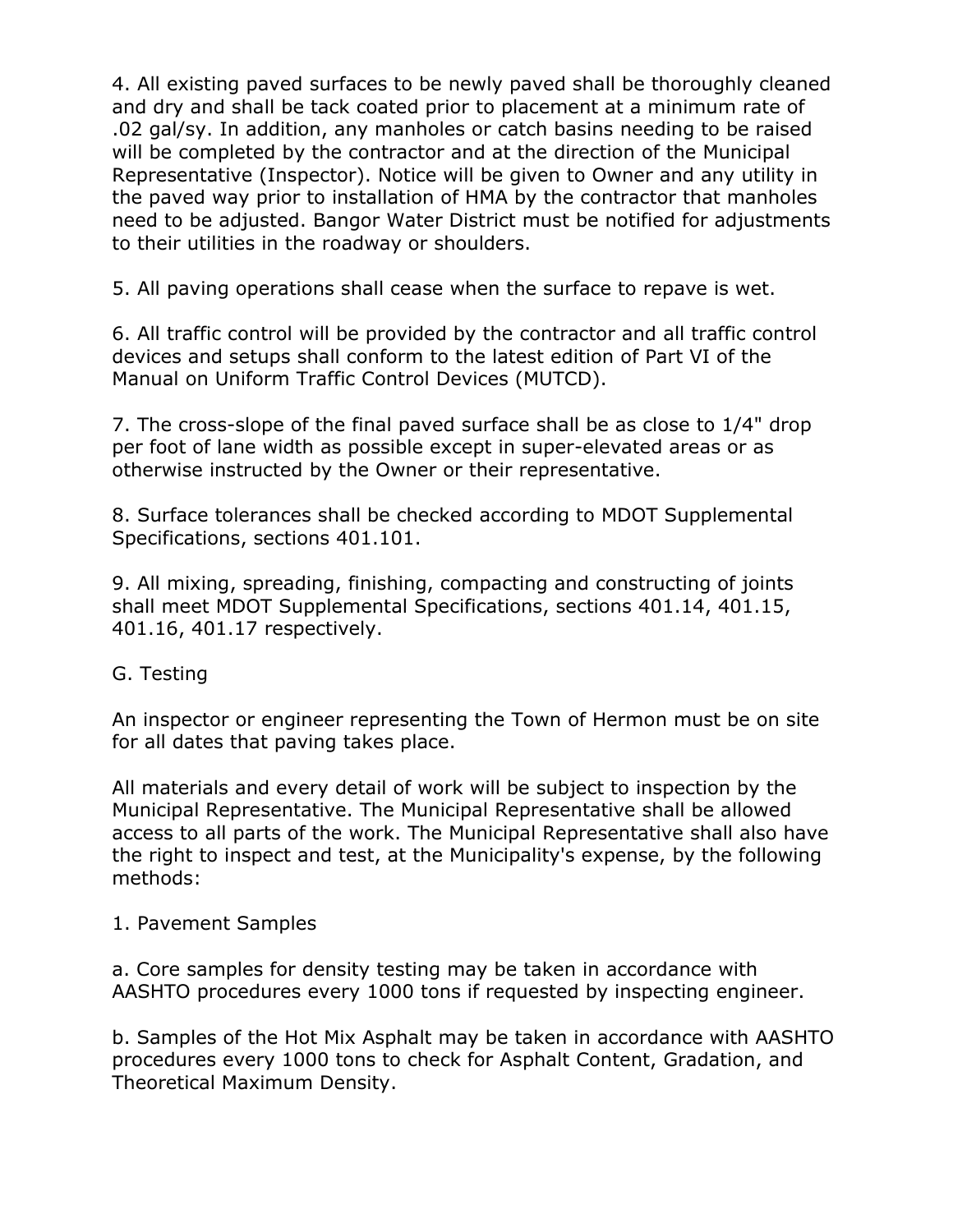4. All existing paved surfaces to be newly paved shall be thoroughly cleaned and dry and shall be tack coated prior to placement at a minimum rate of .02 gal/sy. In addition, any manholes or catch basins needing to be raised will be completed by the contractor and at the direction of the Municipal Representative (Inspector). Notice will be given to Owner and any utility in the paved way prior to installation of HMA by the contractor that manholes need to be adjusted. Bangor Water District must be notified for adjustments to their utilities in the roadway or shoulders.

5. All paving operations shall cease when the surface to repave is wet.

6. All traffic control will be provided by the contractor and all traffic control devices and setups shall conform to the latest edition of Part VI of the Manual on Uniform Traffic Control Devices (MUTCD).

7. The cross-slope of the final paved surface shall be as close to 1/4" drop per foot of lane width as possible except in super-elevated areas or as otherwise instructed by the Owner or their representative.

8. Surface tolerances shall be checked according to MDOT Supplemental Specifications, sections 401.101.

9. All mixing, spreading, finishing, compacting and constructing of joints shall meet MDOT Supplemental Specifications, sections 401.14, 401.15, 401.16, 401.17 respectively.

G. Testing

An inspector or engineer representing the Town of Hermon must be on site for all dates that paving takes place.

All materials and every detail of work will be subject to inspection by the Municipal Representative. The Municipal Representative shall be allowed access to all parts of the work. The Municipal Representative shall also have the right to inspect and test, at the Municipality's expense, by the following methods:

1. Pavement Samples

a. Core samples for density testing may be taken in accordance with AASHTO procedures every 1000 tons if requested by inspecting engineer.

b. Samples of the Hot Mix Asphalt may be taken in accordance with AASHTO procedures every 1000 tons to check for Asphalt Content, Gradation, and Theoretical Maximum Density.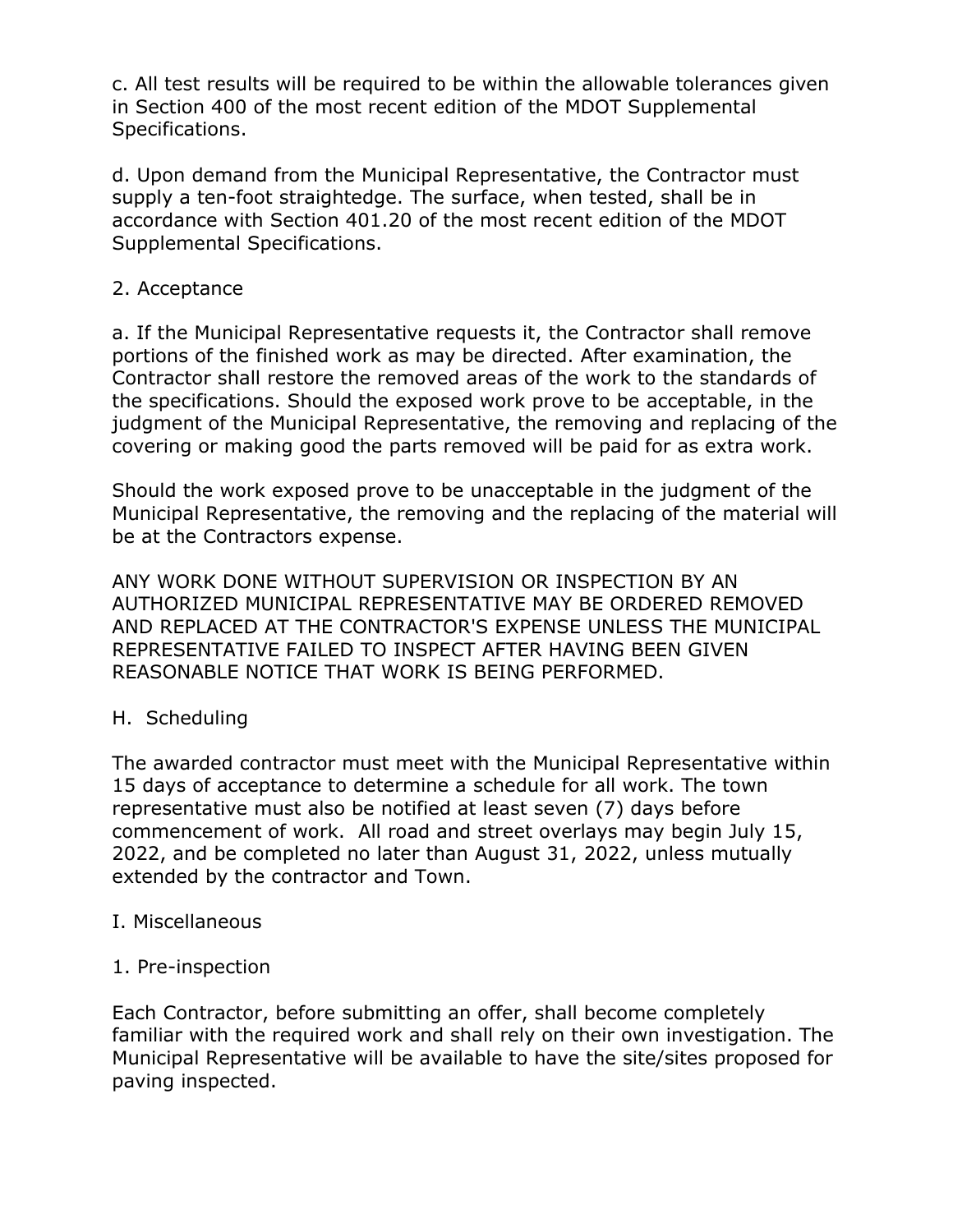c. All test results will be required to be within the allowable tolerances given in Section 400 of the most recent edition of the MDOT Supplemental Specifications.

d. Upon demand from the Municipal Representative, the Contractor must supply a ten-foot straightedge. The surface, when tested, shall be in accordance with Section 401.20 of the most recent edition of the MDOT Supplemental Specifications.

### 2. Acceptance

a. If the Municipal Representative requests it, the Contractor shall remove portions of the finished work as may be directed. After examination, the Contractor shall restore the removed areas of the work to the standards of the specifications. Should the exposed work prove to be acceptable, in the judgment of the Municipal Representative, the removing and replacing of the covering or making good the parts removed will be paid for as extra work.

Should the work exposed prove to be unacceptable in the judgment of the Municipal Representative, the removing and the replacing of the material will be at the Contractors expense.

ANY WORK DONE WITHOUT SUPERVISION OR INSPECTION BY AN AUTHORIZED MUNICIPAL REPRESENTATIVE MAY BE ORDERED REMOVED AND REPLACED AT THE CONTRACTOR'S EXPENSE UNLESS THE MUNICIPAL REPRESENTATIVE FAILED TO INSPECT AFTER HAVING BEEN GIVEN REASONABLE NOTICE THAT WORK IS BEING PERFORMED.

## H. Scheduling

The awarded contractor must meet with the Municipal Representative within 15 days of acceptance to determine a schedule for all work. The town representative must also be notified at least seven (7) days before commencement of work. All road and street overlays may begin July 15, 2022, and be completed no later than August 31, 2022, unless mutually extended by the contractor and Town.

### I. Miscellaneous

### 1. Pre-inspection

Each Contractor, before submitting an offer, shall become completely familiar with the required work and shall rely on their own investigation. The Municipal Representative will be available to have the site/sites proposed for paving inspected.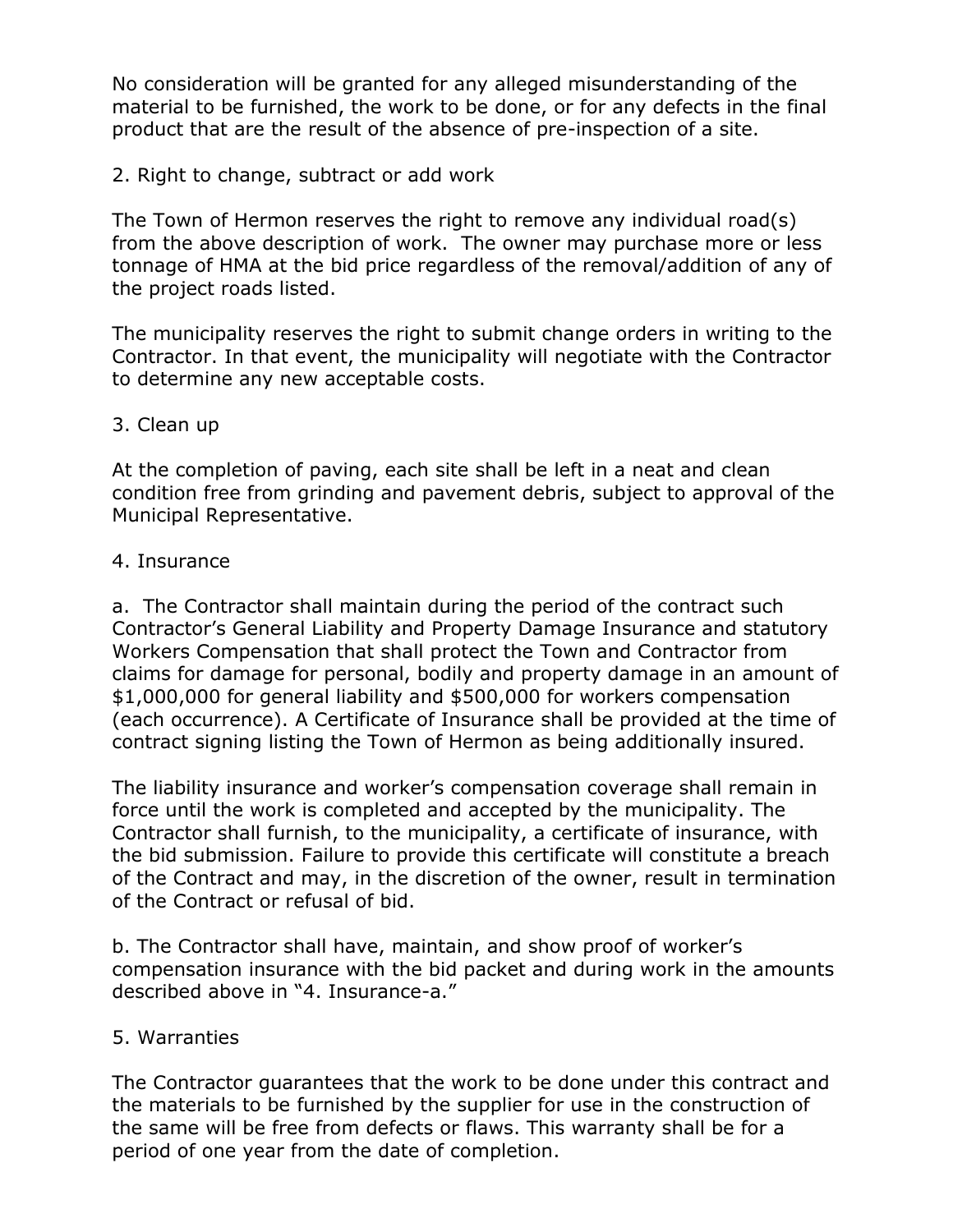No consideration will be granted for any alleged misunderstanding of the material to be furnished, the work to be done, or for any defects in the final product that are the result of the absence of pre-inspection of a site.

### 2. Right to change, subtract or add work

The Town of Hermon reserves the right to remove any individual road(s) from the above description of work. The owner may purchase more or less tonnage of HMA at the bid price regardless of the removal/addition of any of the project roads listed.

The municipality reserves the right to submit change orders in writing to the Contractor. In that event, the municipality will negotiate with the Contractor to determine any new acceptable costs.

### 3. Clean up

At the completion of paving, each site shall be left in a neat and clean condition free from grinding and pavement debris, subject to approval of the Municipal Representative.

### 4. Insurance

a. The Contractor shall maintain during the period of the contract such Contractor's General Liability and Property Damage Insurance and statutory Workers Compensation that shall protect the Town and Contractor from claims for damage for personal, bodily and property damage in an amount of \$1,000,000 for general liability and \$500,000 for workers compensation (each occurrence). A Certificate of Insurance shall be provided at the time of contract signing listing the Town of Hermon as being additionally insured.

The liability insurance and worker's compensation coverage shall remain in force until the work is completed and accepted by the municipality. The Contractor shall furnish, to the municipality, a certificate of insurance, with the bid submission. Failure to provide this certificate will constitute a breach of the Contract and may, in the discretion of the owner, result in termination of the Contract or refusal of bid.

b. The Contractor shall have, maintain, and show proof of worker's compensation insurance with the bid packet and during work in the amounts described above in "4. Insurance-a."

### 5. Warranties

The Contractor guarantees that the work to be done under this contract and the materials to be furnished by the supplier for use in the construction of the same will be free from defects or flaws. This warranty shall be for a period of one year from the date of completion.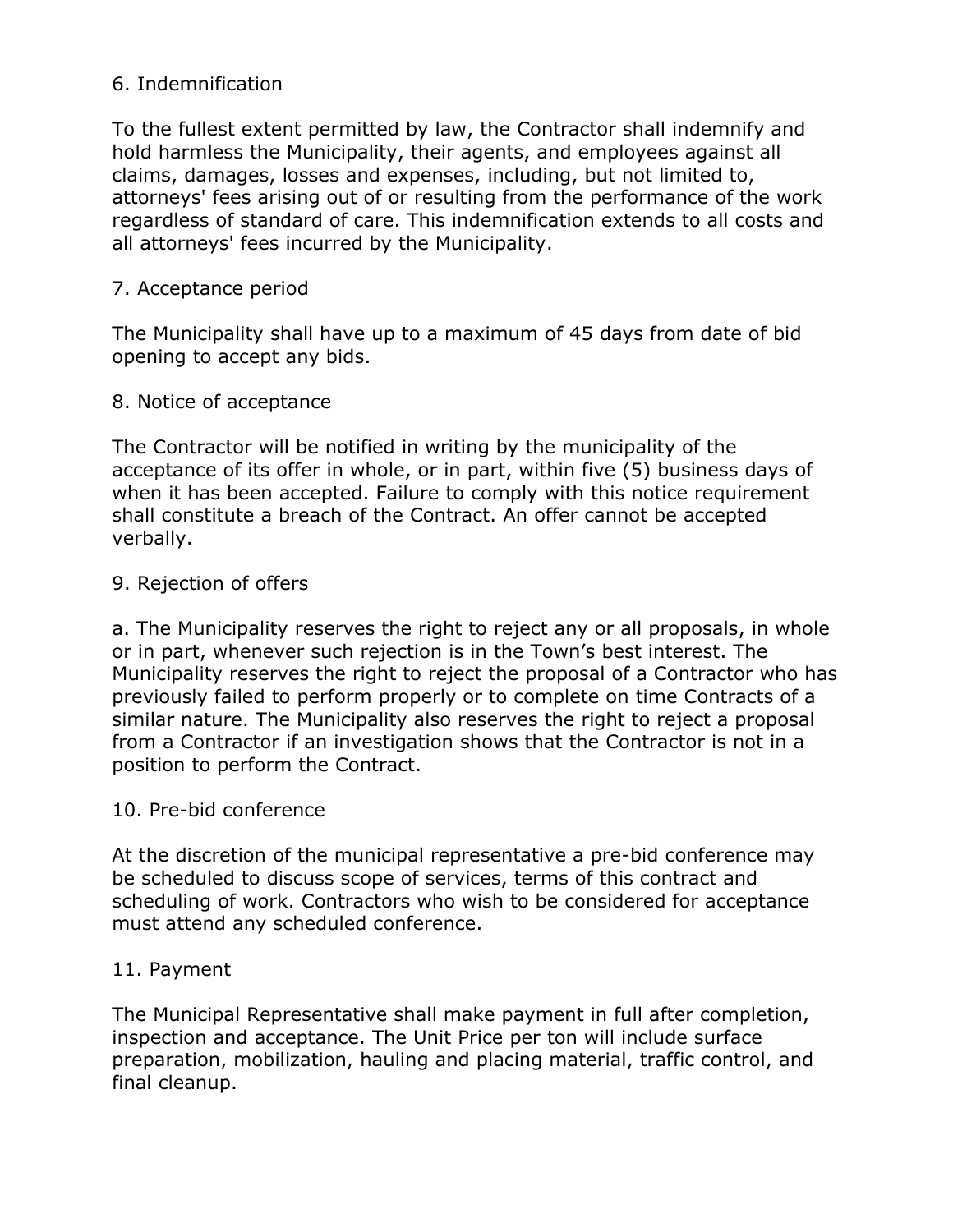### 6. Indemnification

To the fullest extent permitted by law, the Contractor shall indemnify and hold harmless the Municipality, their agents, and employees against all claims, damages, losses and expenses, including, but not limited to, attorneys' fees arising out of or resulting from the performance of the work regardless of standard of care. This indemnification extends to all costs and all attorneys' fees incurred by the Municipality.

### 7. Acceptance period

The Municipality shall have up to a maximum of 45 days from date of bid opening to accept any bids.

#### 8. Notice of acceptance

The Contractor will be notified in writing by the municipality of the acceptance of its offer in whole, or in part, within five (5) business days of when it has been accepted. Failure to comply with this notice requirement shall constitute a breach of the Contract. An offer cannot be accepted verbally.

#### 9. Rejection of offers

a. The Municipality reserves the right to reject any or all proposals, in whole or in part, whenever such rejection is in the Town's best interest. The Municipality reserves the right to reject the proposal of a Contractor who has previously failed to perform properly or to complete on time Contracts of a similar nature. The Municipality also reserves the right to reject a proposal from a Contractor if an investigation shows that the Contractor is not in a position to perform the Contract.

#### 10. Pre-bid conference

At the discretion of the municipal representative a pre-bid conference may be scheduled to discuss scope of services, terms of this contract and scheduling of work. Contractors who wish to be considered for acceptance must attend any scheduled conference.

#### 11. Payment

The Municipal Representative shall make payment in full after completion, inspection and acceptance. The Unit Price per ton will include surface preparation, mobilization, hauling and placing material, traffic control, and final cleanup.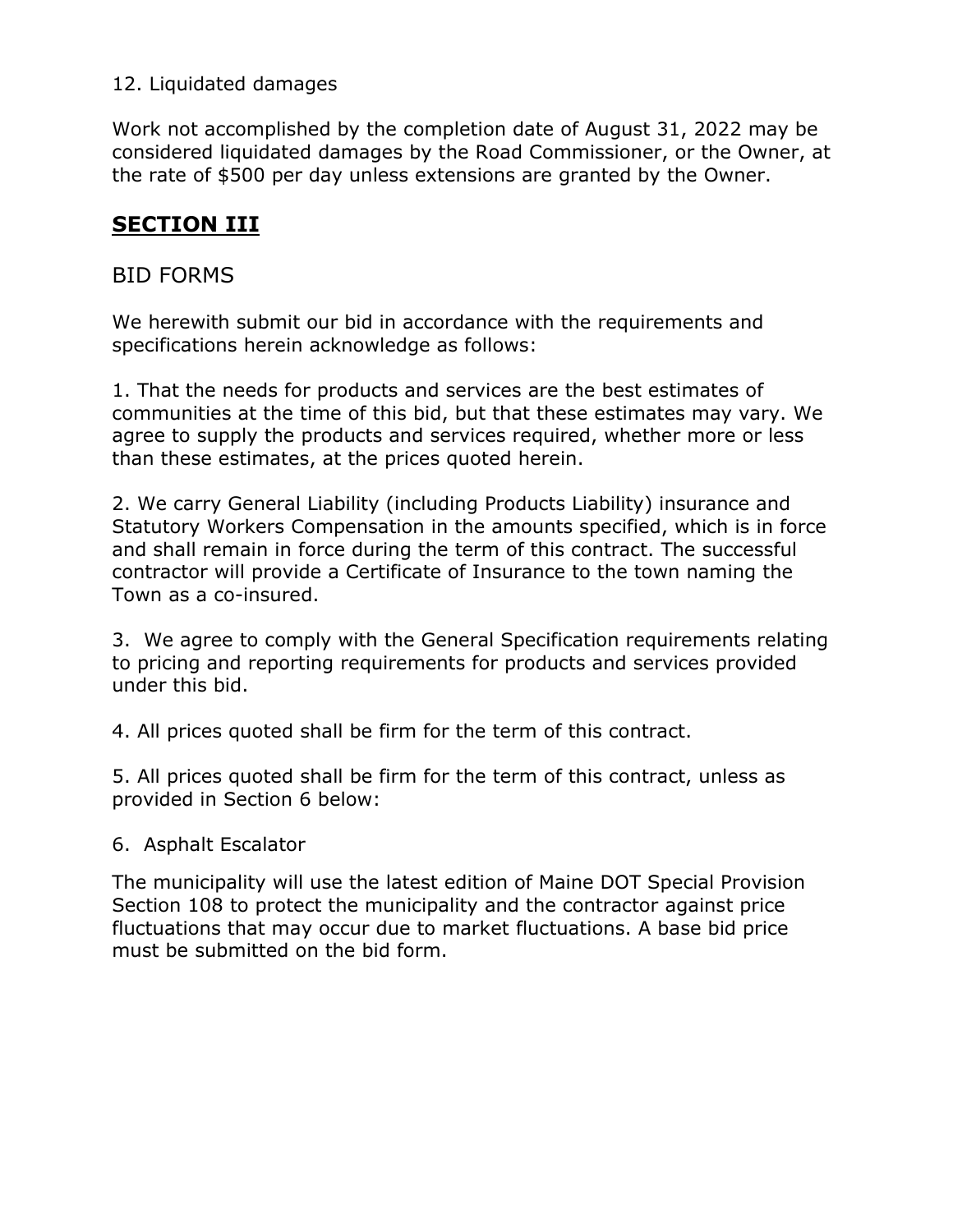## 12. Liquidated damages

Work not accomplished by the completion date of August 31, 2022 may be considered liquidated damages by the Road Commissioner, or the Owner, at the rate of \$500 per day unless extensions are granted by the Owner.

# **SECTION III**

# BID FORMS

We herewith submit our bid in accordance with the requirements and specifications herein acknowledge as follows:

1. That the needs for products and services are the best estimates of communities at the time of this bid, but that these estimates may vary. We agree to supply the products and services required, whether more or less than these estimates, at the prices quoted herein.

2. We carry General Liability (including Products Liability) insurance and Statutory Workers Compensation in the amounts specified, which is in force and shall remain in force during the term of this contract. The successful contractor will provide a Certificate of Insurance to the town naming the Town as a co-insured.

3. We agree to comply with the General Specification requirements relating to pricing and reporting requirements for products and services provided under this bid.

4. All prices quoted shall be firm for the term of this contract.

5. All prices quoted shall be firm for the term of this contract, unless as provided in Section 6 below:

## 6. Asphalt Escalator

The municipality will use the latest edition of Maine DOT Special Provision Section 108 to protect the municipality and the contractor against price fluctuations that may occur due to market fluctuations. A base bid price must be submitted on the bid form.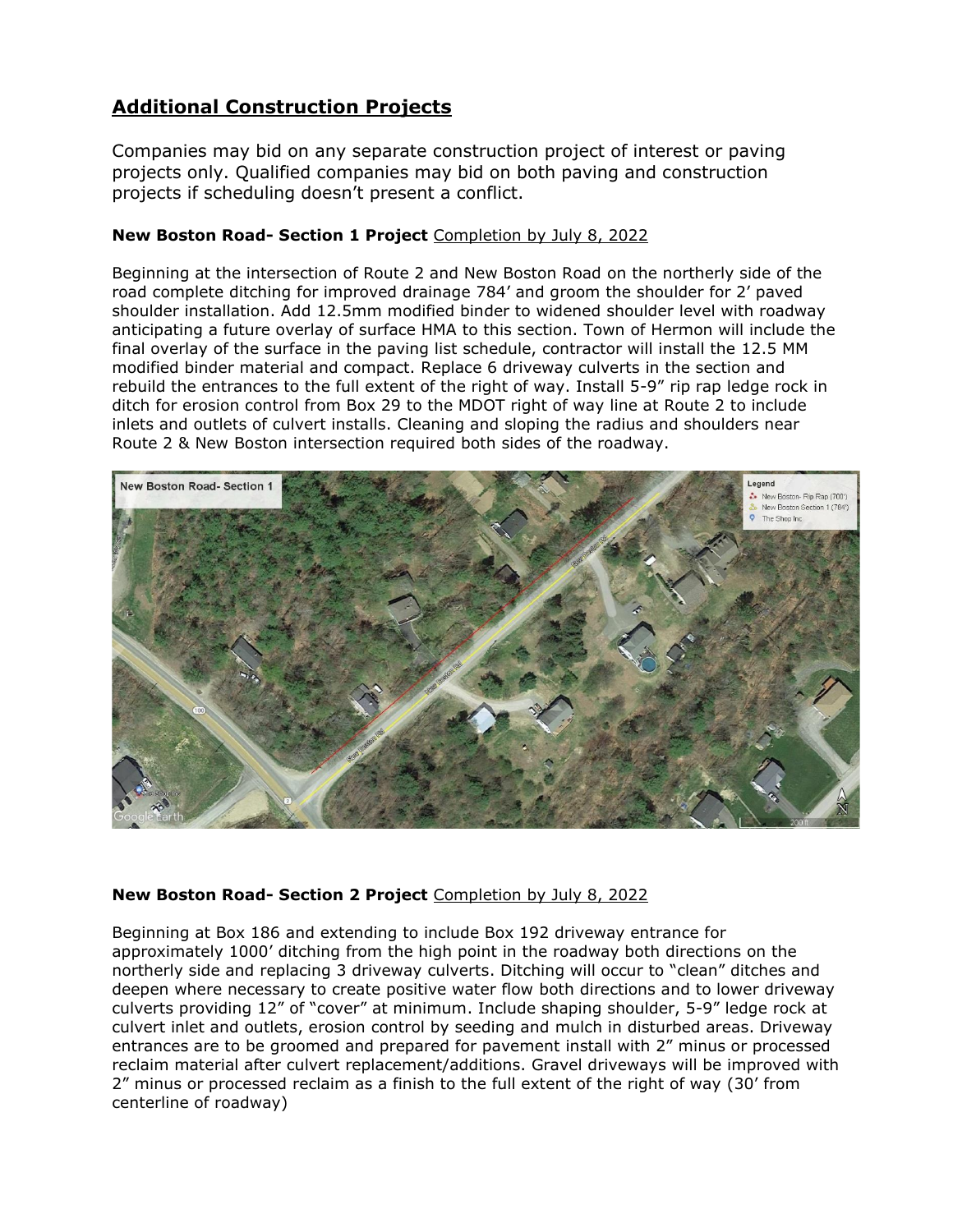# **Additional Construction Projects**

Companies may bid on any separate construction project of interest or paving projects only. Qualified companies may bid on both paving and construction projects if scheduling doesn't present a conflict.

#### **New Boston Road- Section 1 Project** Completion by July 8, 2022

Beginning at the intersection of Route 2 and New Boston Road on the northerly side of the road complete ditching for improved drainage 784' and groom the shoulder for 2' paved shoulder installation. Add 12.5mm modified binder to widened shoulder level with roadway anticipating a future overlay of surface HMA to this section. Town of Hermon will include the final overlay of the surface in the paving list schedule, contractor will install the 12.5 MM modified binder material and compact. Replace 6 driveway culverts in the section and rebuild the entrances to the full extent of the right of way. Install 5-9" rip rap ledge rock in ditch for erosion control from Box 29 to the MDOT right of way line at Route 2 to include inlets and outlets of culvert installs. Cleaning and sloping the radius and shoulders near Route 2 & New Boston intersection required both sides of the roadway.



#### **New Boston Road- Section 2 Project** Completion by July 8, 2022

Beginning at Box 186 and extending to include Box 192 driveway entrance for approximately 1000' ditching from the high point in the roadway both directions on the northerly side and replacing 3 driveway culverts. Ditching will occur to "clean" ditches and deepen where necessary to create positive water flow both directions and to lower driveway culverts providing 12" of "cover" at minimum. Include shaping shoulder, 5-9" ledge rock at culvert inlet and outlets, erosion control by seeding and mulch in disturbed areas. Driveway entrances are to be groomed and prepared for pavement install with 2" minus or processed reclaim material after culvert replacement/additions. Gravel driveways will be improved with 2" minus or processed reclaim as a finish to the full extent of the right of way (30' from centerline of roadway)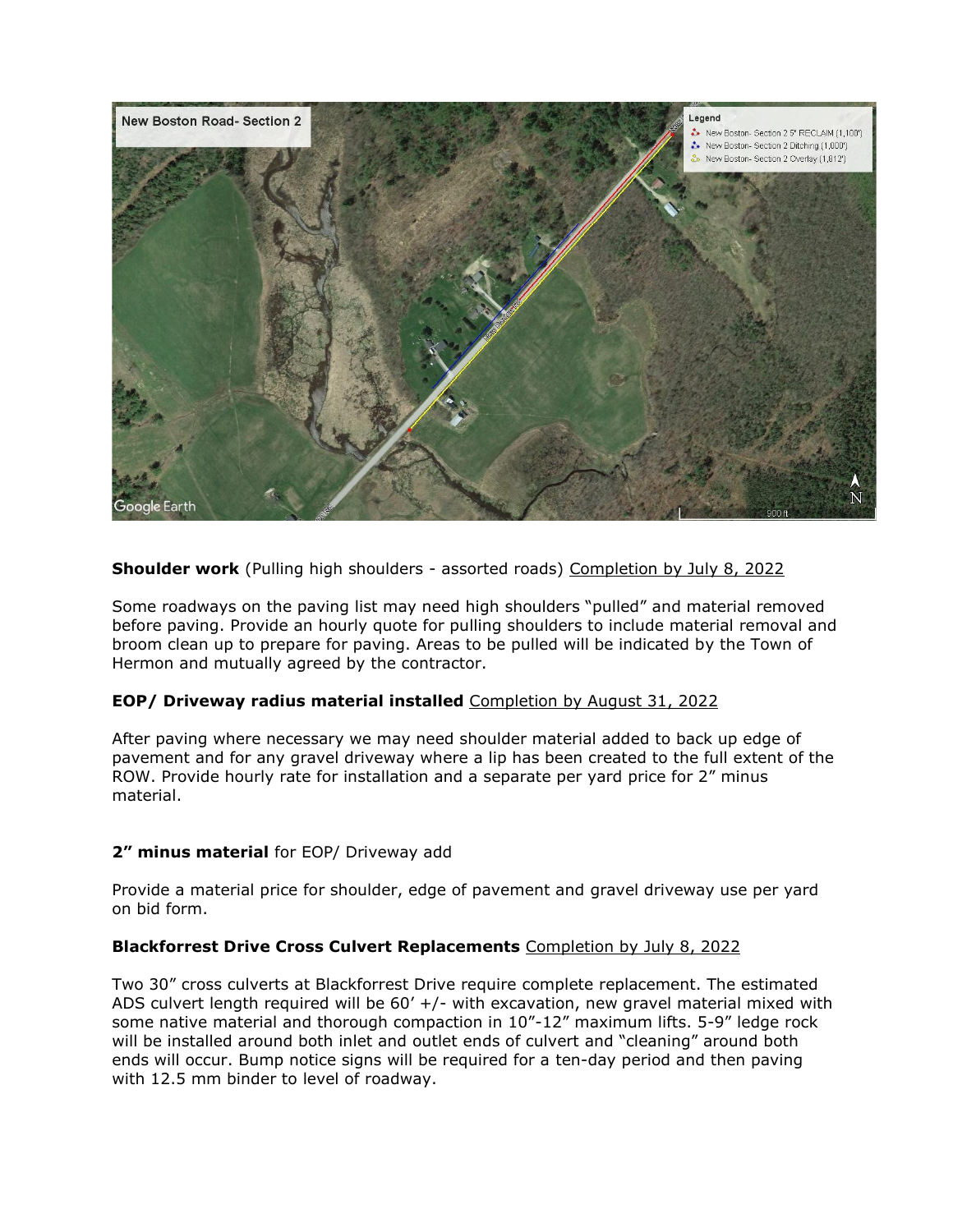

**Shoulder work** (Pulling high shoulders - assorted roads) Completion by July 8, 2022

Some roadways on the paving list may need high shoulders "pulled" and material removed before paving. Provide an hourly quote for pulling shoulders to include material removal and broom clean up to prepare for paving. Areas to be pulled will be indicated by the Town of Hermon and mutually agreed by the contractor.

#### **EOP/ Driveway radius material installed** Completion by August 31, 2022

After paving where necessary we may need shoulder material added to back up edge of pavement and for any gravel driveway where a lip has been created to the full extent of the ROW. Provide hourly rate for installation and a separate per yard price for 2" minus material.

#### **2" minus material** for EOP/ Driveway add

Provide a material price for shoulder, edge of pavement and gravel driveway use per yard on bid form.

#### **Blackforrest Drive Cross Culvert Replacements** Completion by July 8, 2022

Two 30" cross culverts at Blackforrest Drive require complete replacement. The estimated ADS culvert length required will be  $60'$  +/- with excavation, new gravel material mixed with some native material and thorough compaction in 10"-12" maximum lifts. 5-9" ledge rock will be installed around both inlet and outlet ends of culvert and "cleaning" around both ends will occur. Bump notice signs will be required for a ten-day period and then paving with 12.5 mm binder to level of roadway.